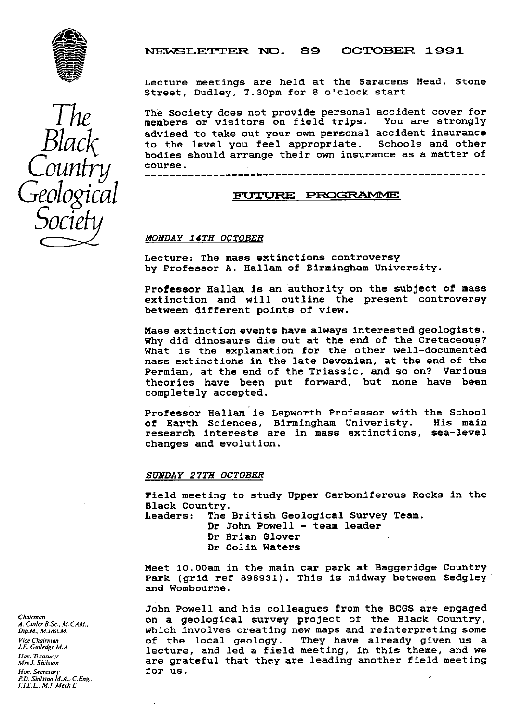

## NEWSLETTER NO. 89 OCTOBER 1991

Lecture meetings are held at the Saracens Head, Stone Street, Dudley, 7.30pm for 8 o'clock start

 $\frac{1}{2}$  The Society does not provide personal accident cover for members or visitors on field trips. You are strongly  $Black$  advised to take out your own personal accident insurance<br> $Black$  to the level you feel appropriate. Schools and other<br>hodies should arrange their own insurance as a matter of bodies should arrange their own insurance as a matter of course. Find members or visitors on field trips. You advised to take out your own personal accidents of the level you feel appropriate. School arrange their own insurance<br>
Geological <del>source</del><br>
Geological <del>surround survey of</del> the s

#### MONDAY 14TH OCTOBER

Lecture: The mass extinctions controversy by Professor A. Hallam of Birmingham University.

Professor Hallam is an authority on the subject of mass extinction and will outline the present controversy between different points of view.

Mass extinction events have always interested geologists. Why did dinosaurs die out at the end of the Cretaceous? What is the explanation for the other well-documented mass extinctions in the late Devonian, at the end of the Permian, at the end of the Triassic, and so on? Various theories have been put forward, but none have been completely accepted.

Professor Hallam is Lapworth Professor with the School of Earth Sciences, Birmingham Univeristy. research interests are in mass extinctions, sea-level changes and evolution.

## SUNDAY 27TH OCTOBER

Field meeting to study Upper Carboniferous Rocks in the Black Country.<br>Leaders: The

The British Geological Survey Team.

Dr John Powell - team leader

Dr Brian Glover Dr Colin Waters

Meet 10.00am in the main car park at Baggeridge Country Park (grid ref 898931). This is midway between Sedgley and Wombourne.

John Powell and his colleagues from the BCGS are engaged Chairman on a geological survey project of the Black Country,<br>A. Cuiler B.Sc., M. CAM...<br>Dip.M., M. Inst.M. *Dip.M.. D.D.M.R.M.*<br>Dip.M.. M.Inst.M.<br>Vice Chairman **blue and a struck of the local geology** They have already given us a Vice Chairman **of the local geology.** They have already given us a vertex of the local geology. They have already given us a lecture, and led a field meeting, in this theme, and we are grateful that they are leading another field meeting for us.



*Non. Treasurer Mrs J. Shilston*<br>*Hon. Secretary* **for us.**<br>*P.D. Shilston M.A.: C.Eng..*<br>*F.I.E.E., M.I. Mech.E.*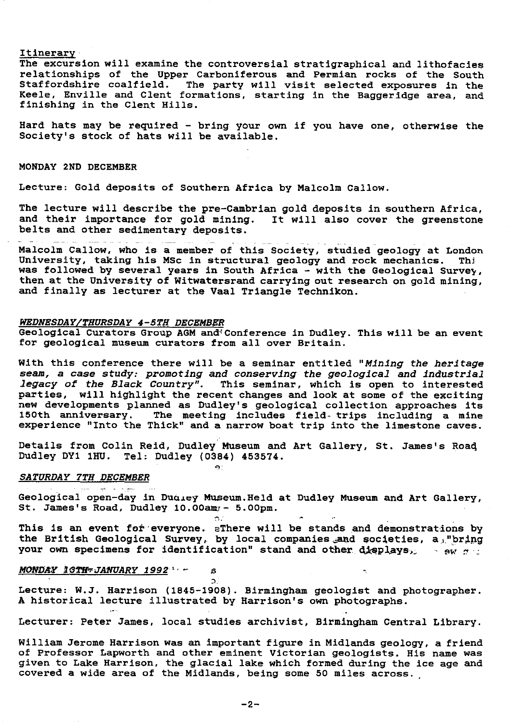Itinerary

The excursion will examine the controversial stratigraphical and lithofacies relationships of the Upper Carboniferous and Permian rocks of the South Staffordshire coalfield. The party will visit selected exposures in the Keele, Enville and Clent formations, starting in the Baggeridge area, and finishing in the Clent Hills.

Hard hats may be required - bring your own if you have one, otherwise the Society's stock of hats will be available.

## MONDAY 2ND DECEMBER

Lecture: Gold deposits of Southern Africa by Malcolm Callow.

The lecture will describe the pre-Cambrian gold deposits in southern Africa, and their importance for gold mining. It will also cover the greenstone belts and other sedimentary deposits.

Malcolm Callow, who is a member of this Society, studied geology at London<br>University, taking his MSc in structural geology and rock mechanics. Thi University, taking his MSc in structural geology and rock mechanics. **was** followed by several years in South Africa - with the Geological Survey, then at the University of Witwatersrand carrying out research on gold mining, and finally as lecturer at the Vaal Triangle **Technikon.**

## *WEDNESDAY/THURSDAY 4-5TH DECEMBER*

Geological Curators Group AGM and<sup>{</sup> Conference in Dudley. This will be an event for geological museum curators from all over Britain.

With this conference there will be a seminar entitled "Mining the heritage seam, a case study: promoting and conserving the geological and industrial legacy of the Black Country". This seminar, which is open to interested parties, will highlight the recent changes and look at some of the exciting new developments planned as Dudley's geological collection approaches it: 150th anniversary. The meeting includes field- trips including a mine experience "Into the Thick" and a narrow boat trip into the limestone caves.

Details from Colin Reid, Dudley Museum and Art Gallery, St. James's Road Dudley DY1 1HU. Tel: Dudley **(0384) 453574.**

 $\bullet$ .

 $\Omega$ 

 $\mathbf{s}$ 

# *SATURDAY 7TH DECEMBER*

Geological open-day in Dudley Museum. Held at Dudley Museum and Art Gallery, St. James's Road, Dudley 10.00am/- 5.00pm.

This is an event for everyone. aThere will be stands and demonstrations by the British Geological Survey, by local companies and societies, a, "bring your own specimens for identification" stand and other displays<sub>22</sub> is ewided

# *MONDAY . QTif'rJANUARY 1992 ' ^*

المهرج والهود عودا

Lecture: W.J. Harrison (1845-1908). Birmingham geologist and photographer. A historical lecture illustrated by Harrison's own photographs.

Lecturer: Peter James, local studies archivist, Birmingham Central Library.

William Jerome Harrison was an important figure in Midlands geology, a friend of Professor Lapworth and other eminent Victorian geologists. His name was given to Lake Harrison, the glacial lake which formed during the ice age and covered a wide area of the Midlands, being some 50 miles across.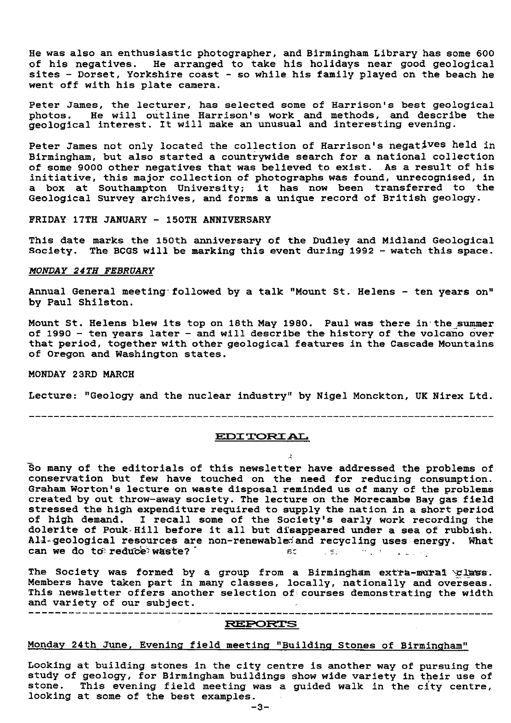He was also an enthusiastic photographer, and Birmingham Library has some 600 of his negatives. He arranged to take his holidays near good geological sites - Dorset, Yorkshire coast - so while his family played on the beach he went off with his plate camera.

Peter James, the lecturer, has selected some of Harrison's best geological photos. He will outline Harrison's work and methods, and describe the geological interest. It will make an unusual and interesting evening.

Peter James not only located the collection of Harrison's negatives held in Birmingham, but also started a countrywide search for a national collection of some 9000 other negatives that was believed to exist. As a result of his initiative, this major collection of photographs was found, unrecognised, in a box at Southampton University; it has now been transferred to the Geological Survey archives, and forms a unique record of British geology.

FRIDAY 17TH JANUARY - 150TH ANNIVERSARY

This date marks the 150th anniversary of the Dudley and Midland Geological Society. The BCGS will be marking this event during 1992 - watch this space.

## *MONDAY 24TH FEBRUARY*

Annual General meeting followed by a talk "Mount St. Helens - ten years on" by Paul Shilston.

Mount St. Helens blew its top on 18th May 1980. Paul was there in'the summer of 1990 - ten years later - and will describe the history of the volcano over that period, together with other geological features in the Cascade Mountains of Oregon and Washington states.

MONDAY 23RD MARCH

Lecture: "Geology and the nuclear industry" by Nigel Monckton, UK Nirex Ltd.

---------------------------------------------------------------------------

# ED2 TORS AL

So many of the editorials of this newsletter have addressed the problems of conservation but few have touched on the need for reducing consumption. Graham Worton's lecture on waste disposal reminded us of many of the problems created by out throw-away society. The lecture on the Morecambe Bay gas field stressed the high expenditure required to supply the nation in a short period of high demand. I recall some of the Society's early work recording the dolerite of Pouk Hill before it all but disappeared under a sea of rubbish. All-geological resources are non-renewabled and recycling uses energy. What can we do to reduce waste? can we do to reduce waste?

The Society was formed by a group from a Birmingham extra-mural elass. Members have taken part in many classes, locally, nationally and overseas. This newsletter offers another selection of courses demonstrating the width and variety of our subject.  $\sim$   $\lambda$  .

## REPORTS

# Monday 24th June, Evening field meeting "Building Stones of Birmingham"

 $\Delta \sim 10^{11}$ 

Looking at building stones in the city centre is another way of pursuing the study of geology, for Birmingham buildings show wide variety in their use of stone. This evening field meeting was a guided walk in the city centre, looking at some of the best examples.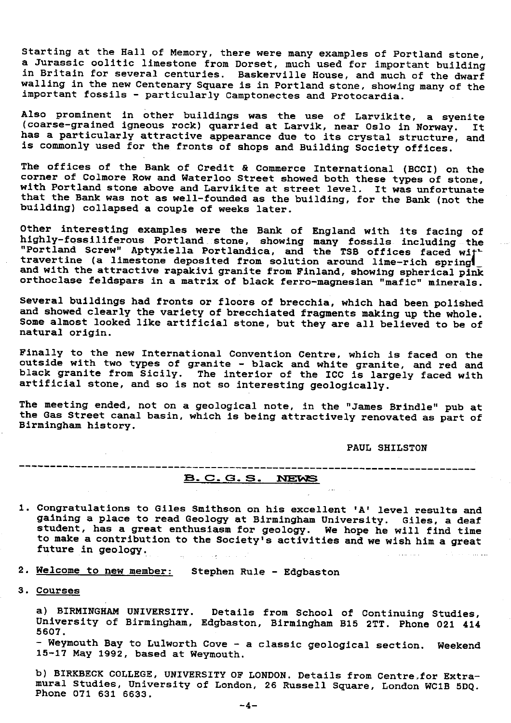Starting at the Hall of Memory, there were many examples of Portland stone, a Jurassic oolitic limestone from Dorset, much used for important building in Britain for several centuries. Baskerville House, and much of the dwarf walling in the new Centenary Square is in Portland stone, showing many of the important fossils - particularly Camptonectes and Protocardia.

Also prominent in other buildings was the use of Larvikite, a syenite (coarse-grained igneous rock) quarried at Larvik, near Oslo in Norway. It has a particularly attractive appearance due to its crystal structure, and is commonly used for the fronts of shops and Building Society offices.

The offices of the Bank of Credit & Commerce International (BCCI) on the corner of Colmore Row and Waterloo Street showed both these types of stone, with Portland stone above and Larvikite at street level. It was unfortunate that the Bank was not as well-founded as the building, for the Bank (not the *building)* collapsed a couple of weeks later.

Other interesting examples were the Bank of England with its facing of highly-fossiliferous Portland\_ stone, showing many fossils including the "Portland Screw" Aptyxiella Portlandica, and the TSB offices faced wi travertine (a limestone deposited from solution around lime-rich spring\_ and with the attractive rapakivi granite from Finland, showing spherical pink orthoclase feldspars in a matrix of black ferro-magnesian "mafic" minerals.

Several buildings had fronts or floors of brecchia, which had been polished and showed clearly the variety of brecchiated fragments making up the whole. Some almost looked like artificial stone, but they are all believed to be of natural origin.

Finally to the new International Convention Centre, which is faced on the outside with two types of granite - black and white granite, and red and black granite from Sicily. The interior of the ICC is largely faced with artificial stone, and so is not so interesting geologically.

The meeting ended, not on a geological note, in the "James Brindle" pub at the Gas Street canal basin, which is being attractively renovated as part of Birmingham history.

PAUL SHILSTON

# **B. C. G. S. NEWS**

1. Congratulations to Giles Smithson on his excellent 'A' level results and gaining a place to read Geology at Birmingham University. Giles, a deaf student, has a great enthusiasm for geology. We hope he will find time to make a contribution to the Society's activities and we wish him a great future in geology.

2. Welcome to new member: Stephen Rule - Edgbaston

3. Courses

a) BIRMINGHAM UNIVERSITY. Details from School of Continuing Studies, University of Birmingham, Edgbaston, Birmingham B15 2TT. Phone 021 414 5607.

- Weymouth Bay to Lulworth Cove - a classic geological section. Weekend 15-17 May 1992, based at Weymouth.

b) BIRKBECK COLLEGE, UNIVERSITY OF LONDON. Details from Centre,for Extramural Studies, University of London, 26 Russell Square, London WC1B 5DQ. Phone 071 631 6633.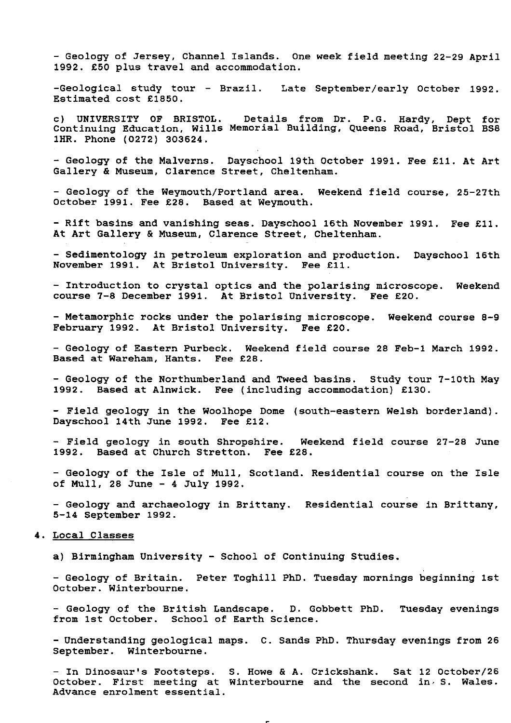- Geology of Jersey, Channel Islands. One week field meeting 22-29 April 1992. £50 plus travel and accommodation.

-Geological study tour - Brazil. Late September/early October 1992. Estimated cost £1850.

c) UNIVERSITY OF BRISTOL. Details from Dr. P.G. Hardy, Dept for Continuing Education, Wills Memorial Building, Queens Road, Bristol BS8 1HR. Phone (0272) 303624.

- Geology of the Malverns. Dayschool 19th October 1991. Fee £11. At Art Gallery & Museum, Clarence Street, Cheltenham.

- Geology of the Weymouth/Portland area. Weekend field course, 25-27th October 1991. Fee £28. Based at Weymouth.

- Rift basins and vanishing seas. Dayschool 16th November 1991. Fee £11. At Art Gallery & Museum, Clarence Street, Cheltenham.

- Sedimentology in petroleum exploration and production. Dayschool 16th November 1991. At Bristol University. Fee £11.

- Introduction to crystal optics and the polarising microscope. Weekend course 7-8 December 1991. At Bristol University. Fee £20.

- Metamorphic rocks under the polarising microscope. Weekend course 8-9 February 1992. At Bristol University. Fee £20.

- Geology of Eastern Purbeck. Weekend field course 28 Feb-1 March 1992. Based at Wareham, Hants. Fee £28.

- Geology of the Northumberland and Tweed basins. Study tour 7-10th May 1992. Based at Alnwick. Fee (including accommodation) £130.

- Field geology in the Woolhope Dome (south-eastern Welsh borderland). Dayschool 14th June 1992. Fee £12.

- Field geology in south Shropshire. Weekend field course 27-28 June 1992. Based at Church Stretton. Fee £28.

- Geology of the Isle of Mull, Scotland. Residential course on the Isle of Mull, 28 June - 4 July 1992.

- Geology and archaeology in Brittany. Residential course in Brittany, 5-14 September 1992.

## 4. Local Classes

a) Birmingham University - School of Continuing Studies.

- Geology of Britain. Peter Toghill PhD. Tuesday mornings beginning 1st October. Winterbourne.

- Geology of the British Landscape. D. Gobbett PhD. Tuesday evenings from 1st October. School of Earth Science.

- Understanding geological maps. C. Sands PhD. Thursday evenings from 26 September. Winterbourne.

- In Dinosaur's Footsteps. S. Howe & A. Crickshank. Sat 12 October/26 October. First meeting at Winterbourne and the second in, S. Wales. Advance enrolment essential.